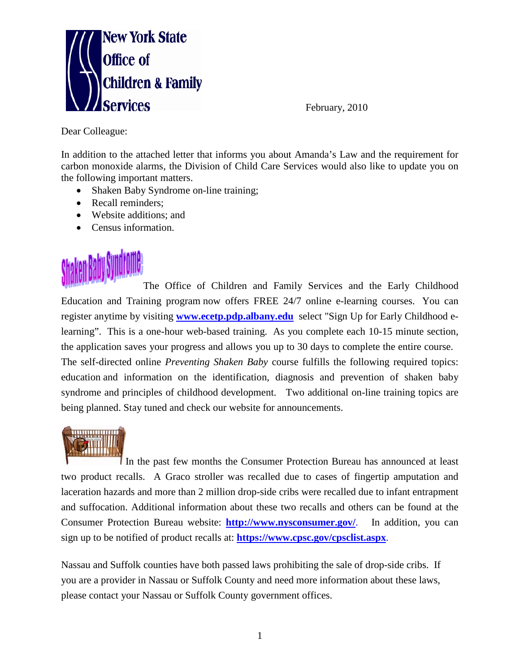

Dear Colleague:

In addition to the attached letter that informs you about Amanda's Law and the requirement for carbon monoxide alarms, the Division of Child Care Services would also like to update you on the following important matters.

- Shaken Baby Syndrome on-line training;
- Recall reminders:
- Website additions; and
- Census information.



The Office of Children and Family Services and the Early Childhood Education and Training program now offers FREE 24/7 online e-learning courses. You can register anytime by visiting **[www.ecetp.pdp.albany.edu](http://www.ecetp.pdp.albany.edu/)** select "Sign Up for Early Childhood elearning". This is a one-hour web-based training. As you complete each 10-15 minute section, the application saves your progress and allows you up to 30 days to complete the entire course.

The self-directed online *Preventing Shaken Baby* course fulfills the following required topics: education and information on the identification, diagnosis and prevention of shaken baby syndrome and principles of childhood development. Two additional on-line training topics are being planned. Stay tuned and check our website for announcements.



In the past few months the Consumer Protection Bureau has announced at least two product recalls. A [Graco stroller was recalled due to cases of fingertip amputation and](http://www.nysconsumer.gov/important_recalls_2010.htm)  [laceration hazards](http://www.nysconsumer.gov/important_recalls_2010.htm) and more than 2 million drop-side cribs were recalled due to [infant entrapment](http://www.cpsc.gov/cpscpub/prerel/prhtml10/10046.html)  [and suffocation.](http://www.cpsc.gov/cpscpub/prerel/prhtml10/10046.html) Additional information about these two recalls and others can be found at the Consumer Protection Bureau website: **<http://www.nysconsumer.gov/>**. In addition, you can sign up to be notified of product recalls at: **<https://www.cpsc.gov/cpsclist.aspx>**.

Nassau and Suffolk counties have both passed laws prohibiting the sale of drop-side cribs. If you are a provider in Nassau or Suffolk County and need more information about these laws, please contact your Nassau or Suffolk County government offices.